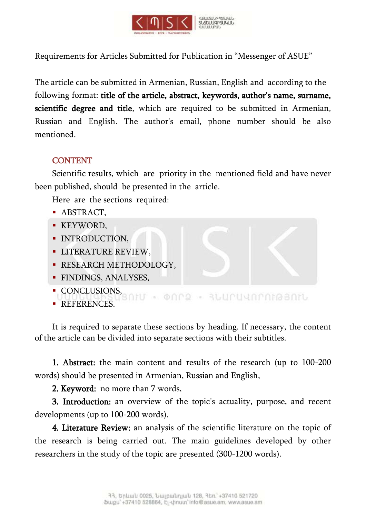

Requirements for Articles Submitted for Publication in "Messenger of ASUE"

The article can be submitted in Armenian, Russian, English and according to the following format: title of the article, abstract, keywords, author's name, surname, scientific degree and title, which are required to be submitted in Armenian, Russian and English. The author's email, phone number should be also mentioned.

## **CONTENT**

Scientific results, which are priority in the mentioned field and have never been published, should be presented in the article.

Here are the sections required:

- **ABSTRACT.**
- **KEYWORD.**
- **INTRODUCTION,**
- **LITERATURE REVIEW,**
- **RESEARCH METHODOLOGY,**
- **FINDINGS, ANALYSES.**
- CONCLUSIONS,
- ONC2 RUUPUNAMABANU 30 **REFERENCES.**

It is required to separate these sections by heading. If necessary, the content of the article can be divided into separate sections with their subtitles.

1. Abstract: the main content and results of the research (up to 100-200 words) should be presented in Armenian, Russian and English,

2. Keyword: no more than 7 words,

3. Introduction: an overview of the topic's actuality, purpose, and recent developments (up to 100-200 words).

4. Literature Review: an analysis of the scientific literature on the topic of the research is being carried out. The main guidelines developed by other researchers in the study of the topic are presented (300-1200 words).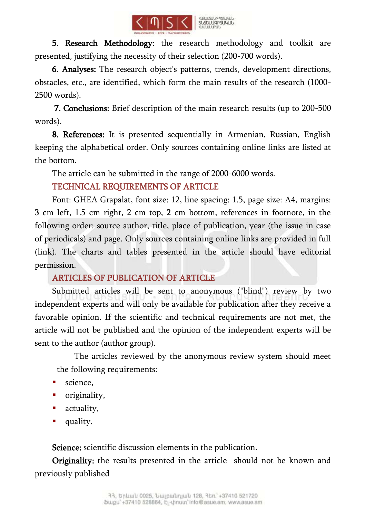

5. Research Methodology: the research methodology and toolkit are presented, justifying the necessity of their selection (200-700 words).

 6. Analyses: The research object's patterns, trends, development directions, obstacles, etc., are identified, which form the main results of the research (1000- 2500 words).

 7. Conclusions: Brief description of the main research results (up to 200-500 words).

8. References: It is presented sequentially in Armenian, Russian, English keeping the alphabetical order. Only sources containing online links are listed at the bottom.

The article can be submitted in the range of 2000-6000 words.

TECHNICAL REQUIREMENTS OF ARTICLE

Font: GHEA Grapalat, font size: 12, line spacing: 1.5, page size: A4, margins: 3 cm left, 1.5 cm right, 2 cm top, 2 cm bottom, references in footnote, in the following order: source author, title, place of publication, year (the issue in case of periodicals) and page. Only sources containing online links are provided in full (link). The charts and tables presented in the article should have editorial permission.

## ARTICLES OF PUBLICATION OF ARTICLE

Submitted articles will be sent to anonymous ("blind") review by two independent experts and will only be available for publication after they receive a favorable opinion. If the scientific and technical requirements are not met, the article will not be published and the opinion of the independent experts will be sent to the author (author group).

The articles reviewed by the anonymous review system should meet the following requirements:

- science,
- **·** originality,
- **actuality**,
- quality.

Science: scientific discussion elements in the publication.

Originality: the results presented in the article should not be known and previously published